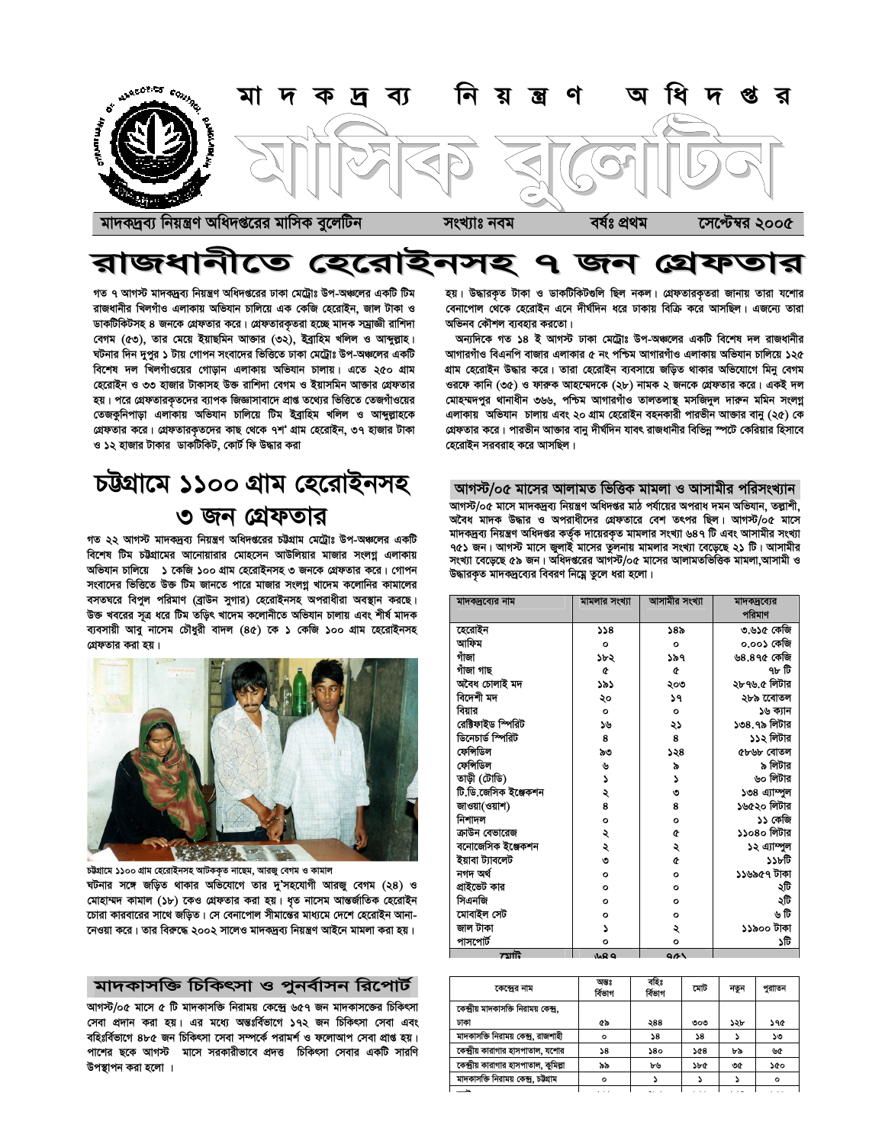

# রাজধানীতে হেরোইনসহ ৭ জন গ্রেফতার

গত ৭ আগস্ট মাদকদ্রব্য নিয়ন্ত্রণ অধিদপ্তরের ঢাকা মেট্রোঃ উপ-অঞ্চলের একটি টিম রাজধানীর খিলগাঁও এলাকায় অভিযান চালিয়ে এক কেজি হেরোইন, জাল টাকা ও ডাকটিকিটসহ ৪ জনকে গ্রেফতার করে। গ্রেফতারকৃতরা হচ্ছে মাদক সম্রাজ্ঞী রাশিদা বেগম (৫৩), তার মেয়ে ইয়াছমিন আজার (৩২), ইব্রাহিম খলিল ও আব্দুল্লাহ। ঘটনার দিন দুপুর ১ টায় গোপন সংবাদের ভিত্তিতে ঢাকা মেট্রোঃ উপ-অঞ্চলের একটি বিশেষ দল খিলগাঁওয়ের গোডান এলাকায় অভিযান চালায়। এতে ২৫০ গ্রাম হেরোইন ও ৩৩ হাজার টাকাসহ উক্ত রাশিদা বেগম ও ইয়াসমিন আক্তার গ্রেফতার হয়। পরে গ্রেফতারকৃতদের ব্যাপক জিজ্ঞাসাবাদে প্রাপ্ত তথ্যের ভিত্তিতে তেজগাঁওয়ের তেজকুনিপাড়া এলাকায় অভিযান চালিয়ে টিম ইব্রাহিম খলিল ও আব্দুল্লাহকে গ্রেফতার করে। গ্রেফতারকৃতদের কাছ থেকে ৭শ' গ্রাম হেরোইন, ৩৭ হাজার টাকা ও ১২ হাজার টাকার ডাকটিকিট, কোর্ট ফি উদ্ধার করা

# চউগ্রামে ১১০০ গ্রাম হেরোইনসহ ৩ জন গ্রেফতার

গত ২২ আগস্ট মাদকদ্রব্য নিয়ন্ত্রণ অধিদপ্তরের চট্টগ্রাম মেট্রোঃ উপ-অঞ্চলের একটি বিশেষ টিম চউগ্রামের আনোয়ারার মোহসেন আউলিয়ার মাজার সংলগ্ন এলাকায় অভিযান চালিয়ে ১ কেজি ১০০ গ্রাম হেরোইনসহ ৩ জনকে গ্রেফতার করে। গোপন সংবাদের ভিত্তিতে উক্ত টিম জানতে পারে মাজার সংলগ্ন খাদেম কলোনির কামালের বসতঘরে বিপুল পরিমাণ (ব্রাউন সুগার) হেরোইনসহ অপরাধীরা অবস্থান করছে। উক্ত খবরের সূত্র ধরে টিম তড়িৎ খাদেম কলোনীতে অভিযান চালায় এবং শীর্ষ মাদক ব্যবসায়ী আবু নাসেম চৌধুরী বাদল (8৫) কে ১ কেজি ১০০ গ্রাম হেরোইনসহ গ্রেফতার করা হয়।



চট্টগ্রামে ১১০০ গ্রাম হেরোইনসহ আটককত নাছেম, আরজ বেগম ও কামাল ঘটনার সঙ্গে জড়িত থাকার অভিযোগে তার দ'সহযোগী আরজ বেগম (২৪) ও মোহাম্মদ কামাল (১৮) কেও গ্রেফতার করা হয়। ধৃত নাসেম আন্তর্জাতিক হেরোইন চোরা কারবারের সাথে জড়িত। সে বেনাপোল সীমান্তের মাধ্যমে দেশে হেরোইন আনা-নেওয়া করে। তার বিরুদ্ধে ২০০২ সালেও মাদকদ্রব্য নিয়ন্ত্রণ আইনে মামলা করা হয়।

### মাদকাসক্তি চিকিৎসা ও পুনর্বাসন রিপোর্ট

আগস্ট/০৫ মাসে ৫ টি মাদকাসক্তি নিরাময় কেন্দ্রে ৬৫৭ জন মাদকাসজের চিকিৎসা সেবা প্রদান করা হয়। এর মধ্যে অন্তঃর্বিভাগে ১৭২ জন চিকিৎসা সেবা এবং বহিঃর্বিভাগে ৪৮৫ জন চিকিৎসা সেবা সম্পর্কে পরামর্শ ও ফলোআপ সেবা প্রাপ্ত হয়। পাশের ছকে আগস্ট মাসে সরকারীভাবে প্রদত্ত চিকিৎসা সেবার একটি সারণি উপস্থাপন করা হলো ।

হয়। উদ্ধারকৃত টাকা ও ডাকটিকিটগুলি ছিল নকল। গ্রেফতারকৃতরা জানায় তারা যশোর বেনাপোল থেকে হেরোইন এনে দীর্ঘদিন ধরে ঢাকায় বিক্রি করে আসছিল। এজন্যে তারা অভিনব কৌশল ব্যবহার করতো।

অন্যদিকে গত ১৪ ই আগস্ট ঢাকা মেট্রোঃ উপ-অঞ্চলের একটি বিশেষ দল রাজধানীর আগারগাঁও বিএনপি বাজার এলাকার ৫ নং পশ্চিম আগারগাঁও এলাকায় অভিযান চালিয়ে ১২৫ গ্রাম হেরোইন উদ্ধার করে। তারা হেরোইন ব্যবসায়ে জডিত থাকার অভিযোগে মিনু বেগম ওরফে কানি (৩৫) ও ফারুক আহম্মেদকে (২৮) নামক ২ জনকে গ্রেফতার করে। একই দল মোহম্মদপুর থানাধীন ৩৬৬, পশ্চিম আগারগাঁও তালতলাস্থ মসজিদুল দারুন মমিন সংলগ্ন এলাকায় অভিযান চালায় এবং ২০ গ্রাম হেরোইন বহনকারী পারভীন আজার বানু (২৫) কে গ্রেফতার করে। পারভীন আক্তার বানু দীর্ঘদিন যাবৎ রাজধানীর বিভিন্ন স্পটে কেরিয়ার হিসাবে হেরোইন সরবরাহ করে আসছিল।

#### আগস্ট/০৫ মাসের আলামত ভিত্তিক মামলা ও আসামীর পরিসংখ্যান

আগস্ট/০৫ মাসে মাদকদ্রব্য নিয়ন্ত্রণ অধিদপ্তর মাঠ পর্যায়ের অপরাধ দমন অভিযান, তল্পাশী, অবৈধ মাদক উদ্ধার ও অপরাধীদের গ্রেফতারে বেশ তৎপর ছিল। আগস্ট/০৫ মাসে মাদকদ্রব্য নিয়ন্ত্রণ অধিদপ্তর কর্তৃক দায়েরকৃত মামলার সংখ্যা ৬৪৭ টি এবং আসামীর সংখ্যা ৭৫১ জন। আগস্ট মাসে জুলাই মাসের তুলনায় মামলার সংখ্যা বেড়েছে ২১ টি। আসামীর সংখ্যা বেড়েছে ৫৯ জন। অধিদপ্তরের আগস্ট/০৫ মাসের আলামতভিত্তিক মামলা আসামী ও উদ্ধারকৃত মাদকদ্রব্যের বিবরণ নিম্নে তুলে ধরা হলো।

| মাদকদ্রব্যের নাম     | মামলার সংখ্যা | আসামীর সংখ্যা | মাদকদ্রব্যের  |
|----------------------|---------------|---------------|---------------|
|                      |               |               | পরিমাণ        |
| হেরোইন               | 8ذذ           | ১৪৯           | ৩.৬১৫ কেজি    |
| আফিম                 | $\circ$       | $\circ$       | ০.০০১ কেজি    |
| গাঁজা                | ১৮২           | ১৯৭           | ৬৪.৪৭৫ কেজি   |
| গাঁজা গাছ            | ¢             | ¢             | ৭৮ টি         |
| অবৈধ চোলাই মদ        | ১৯১           | ২০৩           | ২৮৭৬.৫ লিটার  |
| বিদেশী মদ            | ২০            | ১৭            | ২৮৯ ৱেোতল     |
| বিয়ার               | $\circ$       | $\circ$       | ১৬ ক্যান      |
| ৱেক্টিফাইড স্পিৱিট   | ১৬            | ২১            | ১৩৪.৭৯ লিটার  |
| ডিনেচার্ড স্পিরিট    | 8             | 8             | ১১২ লিটার     |
| ফেন্সিডিল            | ৯৩            | ১২৪           | ৫৮৬৮ বোতল     |
| ফেন্সিডিল            | ৬             | ৯             | ৯ লিটার       |
| তাড়ী (টাডি)         | ډ             | Z             | ৬০ লিটার      |
| টি.ডি.জেসিক ইঞ্জেকশন | ২             | ৩             | ১৩৪ এ্যাম্পুল |
| জাওয়া(ওয়াশ)        | 8             | 8             | ১৬৫২০ লিটার   |
| নিশাদল               | $\circ$       | $\circ$       | ১১ কেজি       |
| ক্রাউন বেভারেজ       | ২             | ¢             | ১১০৪০ লিটার   |
| বনোজেসিক ইঞ্জেকশন    | ২             | ২             | ১২ এ্যাম্পুল  |
| ইয়াবা ট্যাবলেট      | ৩             | ¢             | টার্তর        |
| নগদ অৰ্থ             | $\circ$       | $\circ$       | ১১৬৯৫৭ টাকা   |
| প্ৰাইভেট কার         | $\circ$       | $\circ$       | ২টি           |
| সিএনজি               | $\circ$       | $\circ$       | ২টি           |
| মোবাইল সেট           | $\circ$       | $\circ$       | ৬ টি          |
| জাল টাকা             | د             | ২             | ১১৯০০ টাকা    |
| পাসপোর্ট             | $\circ$       | $\circ$       | ১টি           |
| $\frac{1}{2}$        | ے میں         | 963           |               |

| কেন্দ্রের নাম                          | অন্তঃ<br>ৰ্বিভাগ | বহিঃ<br>ৰ্বিভাগ | মোট | নতুন | পুরাাতন |  |
|----------------------------------------|------------------|-----------------|-----|------|---------|--|
| কেন্দ্রীয় মাদকাসক্তি নিরাময় কেন্দ্র, |                  |                 |     |      |         |  |
| ঢাকা                                   | 45               | ২88             | ৩০৩ | ১২৮  | ১৭৫     |  |
| মাদকাসক্তি নিরাময় কেন্দ্র, রাজশাহী    | $\circ$          | 58              | 58  |      | ১৩      |  |
| কেন্দ্রীয় কারাগার হাসপাতাল, যশোর      | 58               | 380             | 548 | ৮৯   | ৬৫      |  |
| কেন্দ্রীয় কারাগার হাসপাতাল, কুমিল্লা  | ৯৯               | ৮৬              | ১৮৫ | ৩৫   | ১৫০     |  |
| মাদকাসক্তি নিরাময় কেন্দ্র, চউগ্রাম    | $\circ$          |                 |     |      | $\circ$ |  |
| <u>ڪ –</u>                             |                  |                 |     |      |         |  |